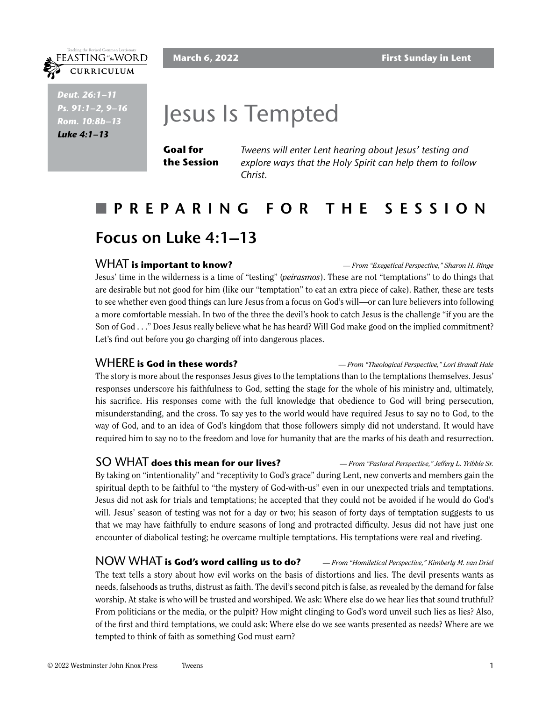#### **March 6, 2022 First Sunday in Lent**



FEASTING<sup>on</sup>the WORD CURRICULUM

# Jesus Is Tempted

**Goal for the Session** *Tweens will enter Lent hearing about Jesus' testing and explore ways that the Holy Spirit can help them to follow Christ.*

# n **PREPARING FOR THE SESSION Focus on Luke 4:1–13**

#### WHAT **is important to know?** *— From "Exegetical Perspective," Sharon H. Ringe*

Jesus' time in the wilderness is a time of "testing" (*peirasmos*). These are not "temptations" to do things that are desirable but not good for him (like our "temptation" to eat an extra piece of cake). Rather, these are tests

to see whether even good things can lure Jesus from a focus on God's will—or can lure believers into following a more comfortable messiah. In two of the three the devil's hook to catch Jesus is the challenge "if you are the Son of God . . ." Does Jesus really believe what he has heard? Will God make good on the implied commitment? Let's find out before you go charging off into dangerous places.

#### WHERE **is God in these words?** *— From "Theological Perspective," Lori Brandt Hale*

The story is more about the responses Jesus gives to the temptations than to the temptations themselves. Jesus' responses underscore his faithfulness to God, setting the stage for the whole of his ministry and, ultimately, his sacrifice. His responses come with the full knowledge that obedience to God will bring persecution, misunderstanding, and the cross. To say yes to the world would have required Jesus to say no to God, to the way of God, and to an idea of God's kingdom that those followers simply did not understand. It would have required him to say no to the freedom and love for humanity that are the marks of his death and resurrection.

#### SO WHAT **does this mean for our lives?** *— From "Pastoral Perspective," Jeffery L. Tribble Sr.*

By taking on "intentionality" and "receptivity to God's grace" during Lent, new converts and members gain the spiritual depth to be faithful to "the mystery of God-with-us" even in our unexpected trials and temptations. Jesus did not ask for trials and temptations; he accepted that they could not be avoided if he would do God's will. Jesus' season of testing was not for a day or two; his season of forty days of temptation suggests to us that we may have faithfully to endure seasons of long and protracted difficulty. Jesus did not have just one encounter of diabolical testing; he overcame multiple temptations. His temptations were real and riveting.

## NOW WHAT **is God's word calling us to do?** *— From "Homiletical Perspective," Kimberly M. van Driel*

The text tells a story about how evil works on the basis of distortions and lies. The devil presents wants as needs, falsehoods as truths, distrust as faith. The devil's second pitch is false, as revealed by the demand for false worship. At stake is who will be trusted and worshiped. We ask: Where else do we hear lies that sound truthful? From politicians or the media, or the pulpit? How might clinging to God's word unveil such lies as lies? Also, of the first and third temptations, we could ask: Where else do we see wants presented as needs? Where are we tempted to think of faith as something God must earn?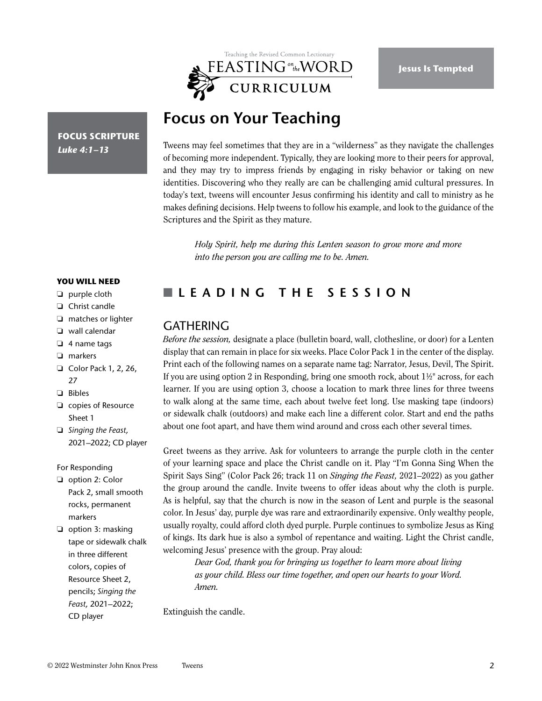

## **Focus on Your Teaching**

**FOCUS SCRIPTURE** *Luke 4:1–13*

Tweens may feel sometimes that they are in a "wilderness" as they navigate the challenges of becoming more independent. Typically, they are looking more to their peers for approval, and they may try to impress friends by engaging in risky behavior or taking on new identities. Discovering who they really are can be challenging amid cultural pressures. In today's text, tweens will encounter Jesus confirming his identity and call to ministry as he makes defining decisions. Help tweens to follow his example, and look to the guidance of the Scriptures and the Spirit as they mature.

*Holy Spirit, help me during this Lenten season to grow more and more into the person you are calling me to be. Amen.*

## n **LEADING THE SESSION**

## **GATHERING**

*Before the session,* designate a place (bulletin board, wall, clothesline, or door) for a Lenten display that can remain in place for six weeks. Place Color Pack 1 in the center of the display. Print each of the following names on a separate name tag: Narrator, Jesus, Devil, The Spirit. If you are using option 2 in Responding, bring one smooth rock, about  $1\frac{1}{2}$ " across, for each learner. If you are using option 3, choose a location to mark three lines for three tweens to walk along at the same time, each about twelve feet long. Use masking tape (indoors) or sidewalk chalk (outdoors) and make each line a different color. Start and end the paths about one foot apart, and have them wind around and cross each other several times.

Greet tweens as they arrive. Ask for volunteers to arrange the purple cloth in the center of your learning space and place the Christ candle on it. Play "I'm Gonna Sing When the Spirit Says Sing" (Color Pack 26; track 11 on *Singing the Feast,* 2021–2022) as you gather the group around the candle. Invite tweens to offer ideas about why the cloth is purple. As is helpful, say that the church is now in the season of Lent and purple is the seasonal color. In Jesus' day, purple dye was rare and extraordinarily expensive. Only wealthy people, usually royalty, could afford cloth dyed purple. Purple continues to symbolize Jesus as King of kings. Its dark hue is also a symbol of repentance and waiting. Light the Christ candle, welcoming Jesus' presence with the group. Pray aloud:

*Dear God, thank you for bringing us together to learn more about living as your child. Bless our time together, and open our hearts to your Word. Amen.*

Extinguish the candle.

#### **YOU WILL NEED**

- ❏ purple cloth
- ❏ Christ candle
- ❏ matches or lighter
- ❏ wall calendar
- ❏ 4 name tags
- ❏ markers
- ❏ Color Pack 1, 2, 26, 27
- ❏ Bibles
- ❏ copies of Resource Sheet 1
- ❏ *Singing the Feast,* 2021–2022; CD player

For Responding

- ❏ option 2: Color Pack 2, small smooth rocks, permanent markers
- ❏ option 3: masking tape or sidewalk chalk in three different colors, copies of Resource Sheet 2, pencils; *Singing the Feast,* 2021–2022; CD player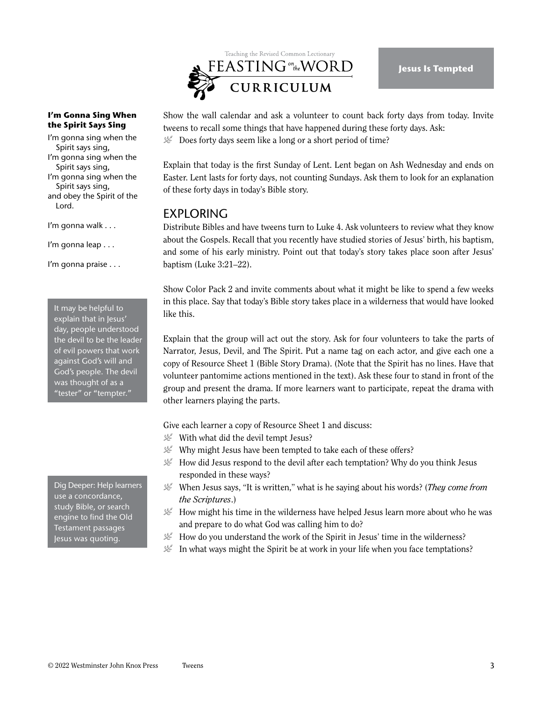

#### **I'm Gonna Sing When the Spirit Says Sing**

I'm gonna sing when the Spirit says sing, I'm gonna sing when the Spirit says sing, I'm gonna sing when the Spirit says sing, and obey the Spirit of the Lord.

I'm gonna walk . . .

I'm gonna leap . . .

I'm gonna praise . . .

It may be helpful to explain that in Jesus' day, people understood the devil to be the leader of evil powers that work against God's will and God's people. The devil was thought of as a "tester" or "tempter."

Dig Deeper: Help learners use a concordance, study Bible, or search engine to find the Old Testament passages Jesus was quoting.

Show the wall calendar and ask a volunteer to count back forty days from today. Invite tweens to recall some things that have happened during these forty days. Ask:  $\mathcal{L}$  Does forty days seem like a long or a short period of time?

Explain that today is the first Sunday of Lent. Lent began on Ash Wednesday and ends on Easter. Lent lasts for forty days, not counting Sundays. Ask them to look for an explanation of these forty days in today's Bible story.

## EXPLORING

Distribute Bibles and have tweens turn to Luke 4. Ask volunteers to review what they know about the Gospels. Recall that you recently have studied stories of Jesus' birth, his baptism, and some of his early ministry. Point out that today's story takes place soon after Jesus' baptism (Luke 3:21–22).

Show Color Pack 2 and invite comments about what it might be like to spend a few weeks in this place. Say that today's Bible story takes place in a wilderness that would have looked like this.

Explain that the group will act out the story. Ask for four volunteers to take the parts of Narrator, Jesus, Devil, and The Spirit. Put a name tag on each actor, and give each one a copy of Resource Sheet 1 (Bible Story Drama). (Note that the Spirit has no lines. Have that volunteer pantomime actions mentioned in the text). Ask these four to stand in front of the group and present the drama. If more learners want to participate, repeat the drama with other learners playing the parts.

Give each learner a copy of Resource Sheet 1 and discuss:

- $\mathcal{L}$  With what did the devil tempt Jesus?
- $\mathcal{L}$  Why might Jesus have been tempted to take each of these offers?
- $\mathcal{L}$  How did Jesus respond to the devil after each temptation? Why do you think Jesus responded in these ways?
- P When Jesus says, "It is written," what is he saying about his words? (*They come from the Scriptures*.)
- $\mathcal{L}$  How might his time in the wilderness have helped Jesus learn more about who he was and prepare to do what God was calling him to do?
- $\mathcal{L}$  How do you understand the work of the Spirit in Jesus' time in the wilderness?
- $\mathcal{L}$  In what ways might the Spirit be at work in your life when you face temptations?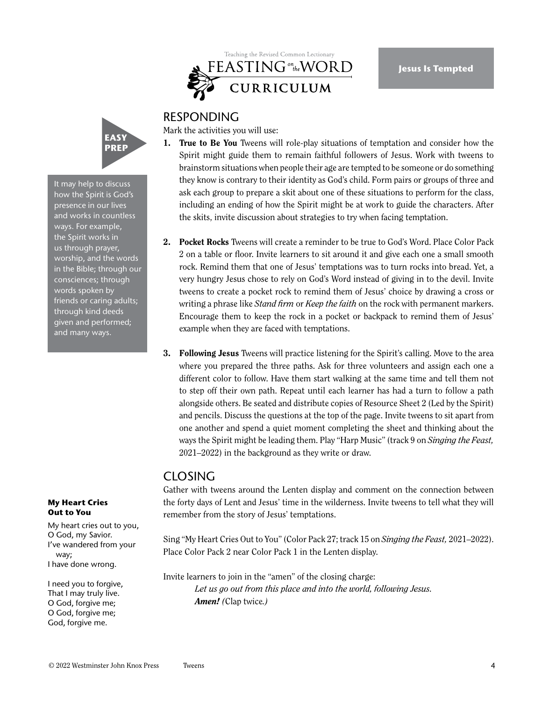



It may help to discuss how the Spirit is God's presence in our lives and works in countless ways. For example, the Spirit works in us through prayer, worship, and the words in the Bible; through our consciences; through words spoken by friends or caring adults; through kind deeds given and performed; and many ways.

#### **My Heart Cries Out to You**

My heart cries out to you, O God, my Savior. I've wandered from your way; I have done wrong.

I need you to forgive, That I may truly live. O God, forgive me; O God, forgive me; God, forgive me.

## RESPONDING

Mark the activities you will use:

- 1. True to Be You Tweens will role-play situations of temptation and consider how the Spirit might guide them to remain faithful followers of Jesus. Work with tweens to brainstorm situations when people their age are tempted to be someone or do something they know is contrary to their identity as God's child. Form pairs or groups of three and ask each group to prepare a skit about one of these situations to perform for the class, including an ending of how the Spirit might be at work to guide the characters. After the skits, invite discussion about strategies to try when facing temptation.
- 2. Pocket Rocks Tweens will create a reminder to be true to God's Word. Place Color Pack 2 on a table or floor. Invite learners to sit around it and give each one a small smooth rock. Remind them that one of Jesus' temptations was to turn rocks into bread. Yet, a very hungry Jesus chose to rely on God's Word instead of giving in to the devil. Invite tweens to create a pocket rock to remind them of Jesus' choice by drawing a cross or writing a phrase like *Stand firm* or *Keep the faith* on the rock with permanent markers. Encourage them to keep the rock in a pocket or backpack to remind them of Jesus' example when they are faced with temptations.
- 3. Following Jesus Tweens will practice listening for the Spirit's calling. Move to the area where you prepared the three paths. Ask for three volunteers and assign each one a different color to follow. Have them start walking at the same time and tell them not to step off their own path. Repeat until each learner has had a turn to follow a path alongside others. Be seated and distribute copies of Resource Sheet 2 (Led by the Spirit) and pencils. Discuss the questions at the top of the page. Invite tweens to sit apart from one another and spend a quiet moment completing the sheet and thinking about the ways the Spirit might be leading them. Play "Harp Music" (track 9 on *Singing the Feast,* 2021–2022) in the background as they write or draw.

## CLOSING

Gather with tweens around the Lenten display and comment on the connection between the forty days of Lent and Jesus' time in the wilderness. Invite tweens to tell what they will remember from the story of Jesus' temptations.

Sing "My Heart Cries Out to You" (Color Pack 27; track 15 on *Singing the Feast,* 2021–2022). Place Color Pack 2 near Color Pack 1 in the Lenten display.

Invite learners to join in the "amen" of the closing charge:

*Let us go out from this place and into the world, following Jesus. Amen! (*Clap twice*.)*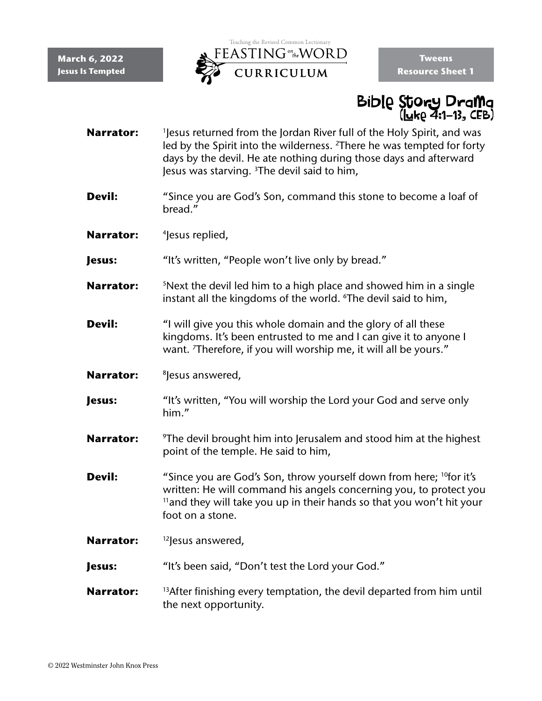

**Tweens Resource Sheet 1**



- **Narrator:** <sup>1</sup> lesus returned from the Jordan River full of the Holy Spirit, and was led by the Spirit into the wilderness. <sup>2</sup>There he was tempted for forty days by the devil. He ate nothing during those days and afterward Jesus was starving. 3The devil said to him,
- **Devil:** "Since you are God's Son, command this stone to become a loaf of bread."
- **Narrator:** <sup>4</sup> esus replied,

**Jesus:** "It's written, "People won't live only by bread."

- **Narrator:** <sup>5</sup>Next the devil led him to a high place and showed him in a single instant all the kingdoms of the world. 6The devil said to him,
- **Devil:** "I will give you this whole domain and the glory of all these kingdoms. It's been entrusted to me and I can give it to anyone I want. Therefore, if you will worship me, it will all be yours."
- **Narrator:** <sup>8</sup> esus answered,
- **Jesus:** "It's written, "You will worship the Lord your God and serve only him."
- **Narrator:** <sup>9</sup>The devil brought him into Jerusalem and stood him at the highest point of the temple. He said to him,
- **Devil:** "Since you are God's Son, throw yourself down from here; <sup>10</sup>for it's written: He will command his angels concerning you, to protect you  $11$ and they will take you up in their hands so that you won't hit your foot on a stone.
- **Narrator:** <sup>12</sup> Jesus answered,
- **Jesus:** "It's been said, "Don't test the Lord your God."
- **Narrator:** <sup>13</sup>After finishing every temptation, the devil departed from him until the next opportunity.